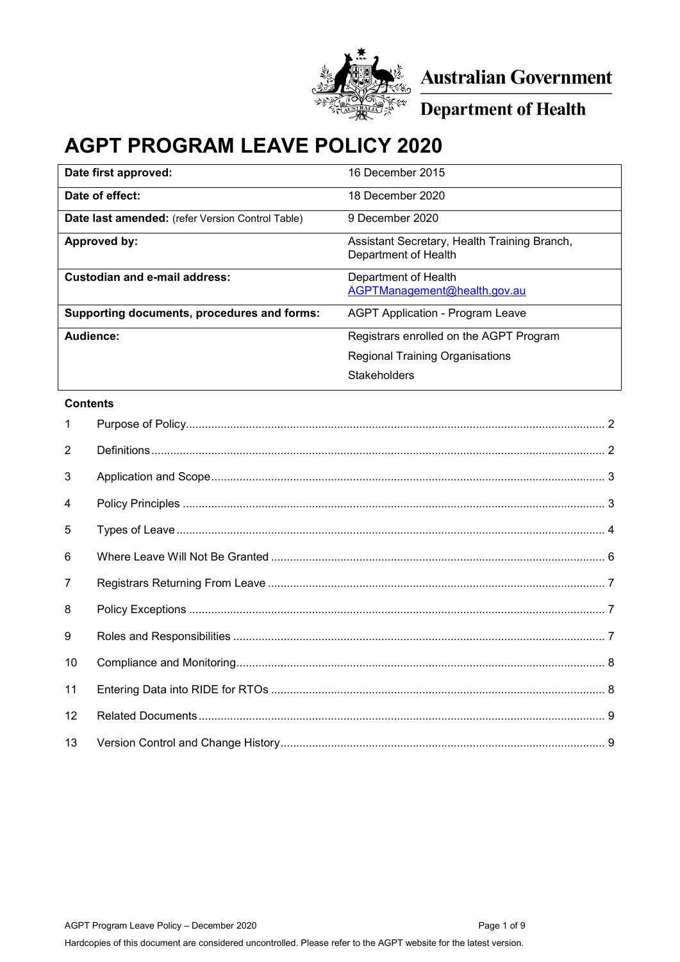

**Australian Government** 

**Department of Health** 

# **AGPT PROGRAM LEAVE POLICY 2020**

| 16 December 2015                                                     |
|----------------------------------------------------------------------|
| 18 December 2020                                                     |
| 9 December 2020                                                      |
| Assistant Secretary, Health Training Branch,<br>Department of Health |
| Department of Health<br>AGPTManagement@health.gov.au                 |
| <b>AGPT Application - Program Leave</b>                              |
| Registrars enrolled on the AGPT Program                              |
| <b>Regional Training Organisations</b>                               |
| <b>Stakeholders</b>                                                  |
|                                                                      |

#### **Contents**

| $\mathbf{1}$   |  |
|----------------|--|
| 2              |  |
| 3              |  |
| 4              |  |
| 5              |  |
| 6              |  |
| $\overline{7}$ |  |
| 8              |  |
| 9              |  |
| 10             |  |
| 11             |  |
| 12             |  |
| 13             |  |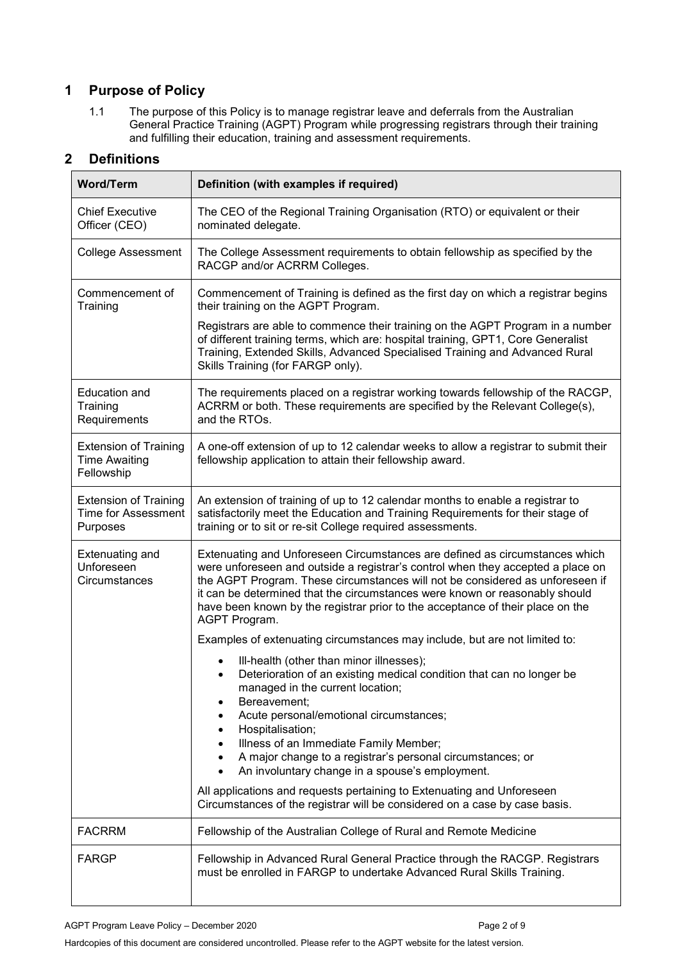# <span id="page-1-0"></span>**1 Purpose of Policy**

1.1 The purpose of this Policy is to manage registrar leave and deferrals from the Australian General Practice Training (AGPT) Program while progressing registrars through their training and fulfilling their education, training and assessment requirements.

# <span id="page-1-1"></span>**2 Definitions**

| <b>Word/Term</b>                                                       | Definition (with examples if required)                                                                                                                                                                                                                                                                                                                                                                                            |  |  |
|------------------------------------------------------------------------|-----------------------------------------------------------------------------------------------------------------------------------------------------------------------------------------------------------------------------------------------------------------------------------------------------------------------------------------------------------------------------------------------------------------------------------|--|--|
| <b>Chief Executive</b><br>Officer (CEO)                                | The CEO of the Regional Training Organisation (RTO) or equivalent or their<br>nominated delegate.                                                                                                                                                                                                                                                                                                                                 |  |  |
| <b>College Assessment</b>                                              | The College Assessment requirements to obtain fellowship as specified by the<br>RACGP and/or ACRRM Colleges.                                                                                                                                                                                                                                                                                                                      |  |  |
| Commencement of<br>Training                                            | Commencement of Training is defined as the first day on which a registrar begins<br>their training on the AGPT Program.                                                                                                                                                                                                                                                                                                           |  |  |
|                                                                        | Registrars are able to commence their training on the AGPT Program in a number<br>of different training terms, which are: hospital training, GPT1, Core Generalist<br>Training, Extended Skills, Advanced Specialised Training and Advanced Rural<br>Skills Training (for FARGP only).                                                                                                                                            |  |  |
| <b>Education and</b><br>Training<br>Requirements                       | The requirements placed on a registrar working towards fellowship of the RACGP,<br>ACRRM or both. These requirements are specified by the Relevant College(s),<br>and the RTOs.                                                                                                                                                                                                                                                   |  |  |
| <b>Extension of Training</b><br><b>Time Awaiting</b><br>Fellowship     | A one-off extension of up to 12 calendar weeks to allow a registrar to submit their<br>fellowship application to attain their fellowship award.                                                                                                                                                                                                                                                                                   |  |  |
| <b>Extension of Training</b><br><b>Time for Assessment</b><br>Purposes | An extension of training of up to 12 calendar months to enable a registrar to<br>satisfactorily meet the Education and Training Requirements for their stage of<br>training or to sit or re-sit College required assessments.                                                                                                                                                                                                     |  |  |
| <b>Extenuating and</b><br>Unforeseen<br>Circumstances                  | Extenuating and Unforeseen Circumstances are defined as circumstances which<br>were unforeseen and outside a registrar's control when they accepted a place on<br>the AGPT Program. These circumstances will not be considered as unforeseen if<br>it can be determined that the circumstances were known or reasonably should<br>have been known by the registrar prior to the acceptance of their place on the<br>AGPT Program. |  |  |
|                                                                        | Examples of extenuating circumstances may include, but are not limited to:                                                                                                                                                                                                                                                                                                                                                        |  |  |
|                                                                        | Ill-health (other than minor illnesses);<br>Deterioration of an existing medical condition that can no longer be<br>$\bullet$<br>managed in the current location;<br>Bereavement;<br>Acute personal/emotional circumstances;<br>Hospitalisation;                                                                                                                                                                                  |  |  |
|                                                                        | Illness of an Immediate Family Member;<br>A major change to a registrar's personal circumstances; or<br>An involuntary change in a spouse's employment.                                                                                                                                                                                                                                                                           |  |  |
|                                                                        | All applications and requests pertaining to Extenuating and Unforeseen<br>Circumstances of the registrar will be considered on a case by case basis.                                                                                                                                                                                                                                                                              |  |  |
| <b>FACRRM</b>                                                          | Fellowship of the Australian College of Rural and Remote Medicine                                                                                                                                                                                                                                                                                                                                                                 |  |  |
| <b>FARGP</b>                                                           | Fellowship in Advanced Rural General Practice through the RACGP. Registrars<br>must be enrolled in FARGP to undertake Advanced Rural Skills Training.                                                                                                                                                                                                                                                                             |  |  |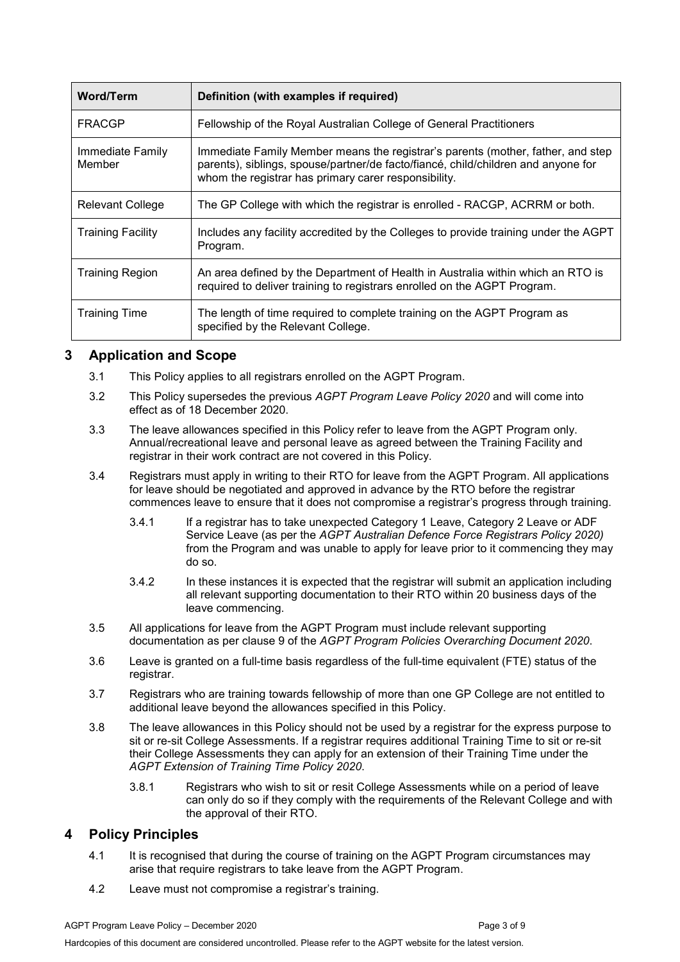| <b>Word/Term</b>           | Definition (with examples if required)                                                                                                                                                                                       |
|----------------------------|------------------------------------------------------------------------------------------------------------------------------------------------------------------------------------------------------------------------------|
| FRACGP                     | Fellowship of the Royal Australian College of General Practitioners                                                                                                                                                          |
| Immediate Family<br>Member | Immediate Family Member means the registrar's parents (mother, father, and step<br>parents), siblings, spouse/partner/de facto/fiancé, child/children and anyone for<br>whom the registrar has primary carer responsibility. |
| Relevant College           | The GP College with which the registrar is enrolled - RACGP, ACRRM or both.                                                                                                                                                  |
| <b>Training Facility</b>   | Includes any facility accredited by the Colleges to provide training under the AGPT<br>Program.                                                                                                                              |
| <b>Training Region</b>     | An area defined by the Department of Health in Australia within which an RTO is<br>required to deliver training to registrars enrolled on the AGPT Program.                                                                  |
| <b>Training Time</b>       | The length of time required to complete training on the AGPT Program as<br>specified by the Relevant College.                                                                                                                |

## <span id="page-2-0"></span>**3 Application and Scope**

- 3.1 This Policy applies to all registrars enrolled on the AGPT Program.
- 3.2 This Policy supersedes the previous *AGPT Program Leave Policy 2020* and will come into effect as of 18 December 2020.
- 3.3 The leave allowances specified in this Policy refer to leave from the AGPT Program only. Annual/recreational leave and personal leave as agreed between the Training Facility and registrar in their work contract are not covered in this Policy.
- 3.4 Registrars must apply in writing to their RTO for leave from the AGPT Program. All applications for leave should be negotiated and approved in advance by the RTO before the registrar commences leave to ensure that it does not compromise a registrar's progress through training.
	- 3.4.1 If a registrar has to take unexpected Category 1 Leave, Category 2 Leave or ADF Service Leave (as per the *AGPT Australian Defence Force Registrars Policy 2020)* from the Program and was unable to apply for leave prior to it commencing they may do so.
	- 3.4.2 In these instances it is expected that the registrar will submit an application including all relevant supporting documentation to their RTO within 20 business days of the leave commencing.
- 3.5 All applications for leave from the AGPT Program must include relevant supporting documentation as per clause 9 of the *AGPT Program Policies Overarching Document 2020*.
- 3.6 Leave is granted on a full-time basis regardless of the full-time equivalent (FTE) status of the registrar.
- 3.7 Registrars who are training towards fellowship of more than one GP College are not entitled to additional leave beyond the allowances specified in this Policy.
- 3.8 The leave allowances in this Policy should not be used by a registrar for the express purpose to sit or re-sit College Assessments. If a registrar requires additional Training Time to sit or re-sit their College Assessments they can apply for an extension of their Training Time under the *AGPT Extension of Training Time Policy 2020*.
	- 3.8.1 Registrars who wish to sit or resit College Assessments while on a period of leave can only do so if they comply with the requirements of the Relevant College and with the approval of their RTO.

## <span id="page-2-1"></span>**4 Policy Principles**

- 4.1 It is recognised that during the course of training on the AGPT Program circumstances may arise that require registrars to take leave from the AGPT Program.
- 4.2 Leave must not compromise a registrar's training.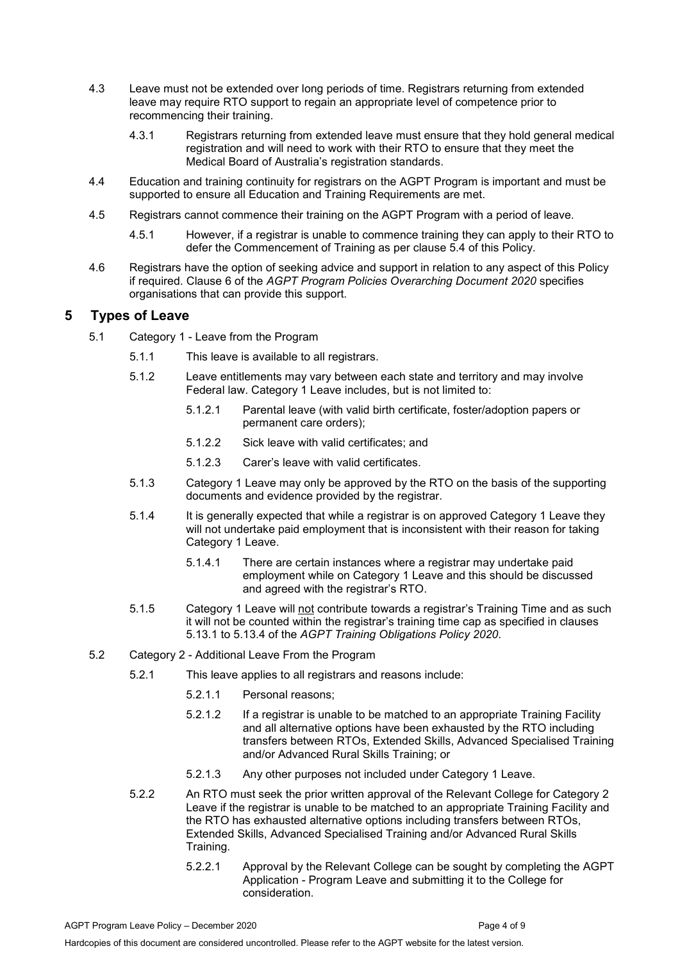- 4.3 Leave must not be extended over long periods of time. Registrars returning from extended leave may require RTO support to regain an appropriate level of competence prior to recommencing their training.
	- 4.3.1 Registrars returning from extended leave must ensure that they hold general medical registration and will need to work with their RTO to ensure that they meet the Medical Board of Australia's registration standards.
- 4.4 Education and training continuity for registrars on the AGPT Program is important and must be supported to ensure all Education and Training Requirements are met.
- 4.5 Registrars cannot commence their training on the AGPT Program with a period of leave.
	- 4.5.1 However, if a registrar is unable to commence training they can apply to their RTO to defer the Commencement of Training as per clause 5.4 of this Policy.
- 4.6 Registrars have the option of seeking advice and support in relation to any aspect of this Policy if required. Clause 6 of the *AGPT Program Policies Overarching Document 2020* specifies organisations that can provide this support.

## <span id="page-3-0"></span>**5 Types of Leave**

- 5.1 Category 1 Leave from the Program
	- 5.1.1 This leave is available to all registrars.
	- 5.1.2 Leave entitlements may vary between each state and territory and may involve Federal law. Category 1 Leave includes, but is not limited to:
		- 5.1.2.1 Parental leave (with valid birth certificate, foster/adoption papers or permanent care orders);
		- 5.1.2.2 Sick leave with valid certificates; and
		- 5.1.2.3 Carer's leave with valid certificates.
	- 5.1.3 Category 1 Leave may only be approved by the RTO on the basis of the supporting documents and evidence provided by the registrar.
	- 5.1.4 It is generally expected that while a registrar is on approved Category 1 Leave they will not undertake paid employment that is inconsistent with their reason for taking Category 1 Leave.
		- 5.1.4.1 There are certain instances where a registrar may undertake paid employment while on Category 1 Leave and this should be discussed and agreed with the registrar's RTO.
	- 5.1.5 Category 1 Leave will not contribute towards a registrar's Training Time and as such it will not be counted within the registrar's training time cap as specified in clauses 5.13.1 to 5.13.4 of the *AGPT Training Obligations Policy 2020*.
- 5.2 Category 2 Additional Leave From the Program
	- 5.2.1 This leave applies to all registrars and reasons include:
		- 5.2.1.1 Personal reasons;
		- 5.2.1.2 If a registrar is unable to be matched to an appropriate Training Facility and all alternative options have been exhausted by the RTO including transfers between RTOs, Extended Skills, Advanced Specialised Training and/or Advanced Rural Skills Training; or
		- 5.2.1.3 Any other purposes not included under Category 1 Leave.
	- 5.2.2 An RTO must seek the prior written approval of the Relevant College for Category 2 Leave if the registrar is unable to be matched to an appropriate Training Facility and the RTO has exhausted alternative options including transfers between RTOs. Extended Skills, Advanced Specialised Training and/or Advanced Rural Skills Training.
		- 5.2.2.1 Approval by the Relevant College can be sought by completing the AGPT Application - Program Leave and submitting it to the College for consideration.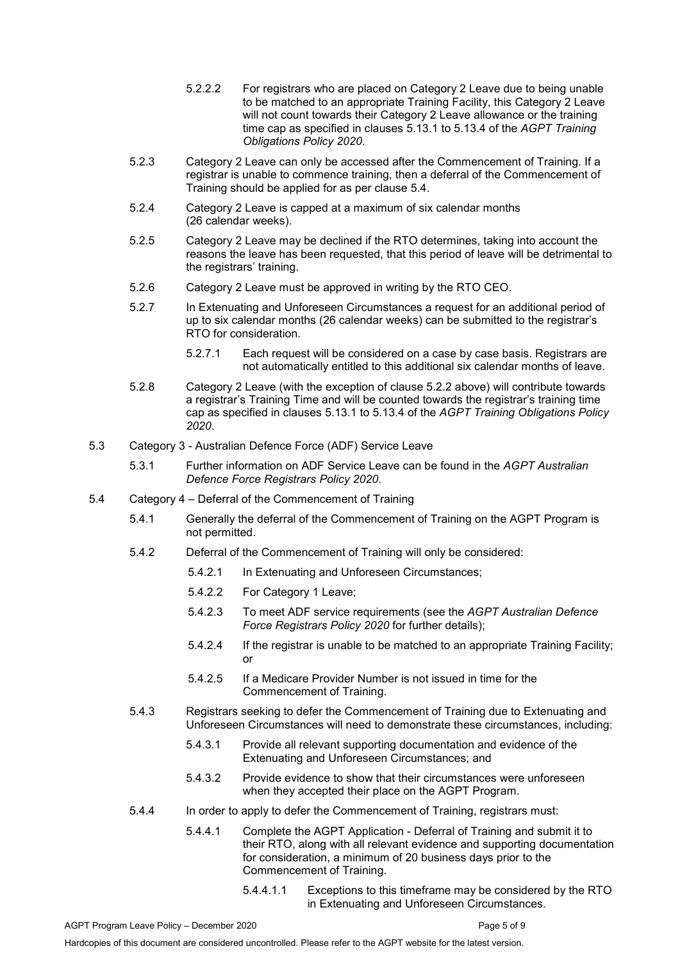- 5.2.2.2 For registrars who are placed on Category 2 Leave due to being unable to be matched to an appropriate Training Facility, this Category 2 Leave will not count towards their Category 2 Leave allowance or the training time cap as specified in clauses 5.13.1 to 5.13.4 of the *AGPT Training Obligations Policy 2020*.
- 5.2.3 Category 2 Leave can only be accessed after the Commencement of Training. If a registrar is unable to commence training, then a deferral of the Commencement of Training should be applied for as per clause 5.4.
- 5.2.4 Category 2 Leave is capped at a maximum of six calendar months (26 calendar weeks).
- 5.2.5 Category 2 Leave may be declined if the RTO determines, taking into account the reasons the leave has been requested, that this period of leave will be detrimental to the registrars' training.
- 5.2.6 Category 2 Leave must be approved in writing by the RTO CEO.
- 5.2.7 In Extenuating and Unforeseen Circumstances a request for an additional period of up to six calendar months (26 calendar weeks) can be submitted to the registrar's RTO for consideration.
	- 5.2.7.1 Each request will be considered on a case by case basis. Registrars are not automatically entitled to this additional six calendar months of leave.
- 5.2.8 Category 2 Leave (with the exception of clause 5.2.2 above) will contribute towards a registrar's Training Time and will be counted towards the registrar's training time cap as specified in clauses 5.13.1 to 5.13.4 of the *AGPT Training Obligations Policy 2020*.
- 5.3 Category 3 Australian Defence Force (ADF) Service Leave
	- 5.3.1 Further information on ADF Service Leave can be found in the *AGPT Australian Defence Force Registrars Policy 2020*.
- 5.4 Category 4 Deferral of the Commencement of Training
	- 5.4.1 Generally the deferral of the Commencement of Training on the AGPT Program is not permitted.
	- 5.4.2 Deferral of the Commencement of Training will only be considered:
		- 5.4.2.1 In Extenuating and Unforeseen Circumstances;
		- 5.4.2.2 For Category 1 Leave;
		- 5.4.2.3 To meet ADF service requirements (see the *AGPT Australian Defence Force Registrars Policy 2020* for further details);
		- 5.4.2.4 If the registrar is unable to be matched to an appropriate Training Facility; or
		- 5.4.2.5 If a Medicare Provider Number is not issued in time for the Commencement of Training.
	- 5.4.3 Registrars seeking to defer the Commencement of Training due to Extenuating and Unforeseen Circumstances will need to demonstrate these circumstances, including:
		- 5.4.3.1 Provide all relevant supporting documentation and evidence of the Extenuating and Unforeseen Circumstances; and
		- 5.4.3.2 Provide evidence to show that their circumstances were unforeseen when they accepted their place on the AGPT Program.
	- 5.4.4 In order to apply to defer the Commencement of Training, registrars must:
		- 5.4.4.1 Complete the AGPT Application Deferral of Training and submit it to their RTO, along with all relevant evidence and supporting documentation for consideration, a minimum of 20 business days prior to the Commencement of Training.
			- 5.4.4.1.1 Exceptions to this timeframe may be considered by the RTO in Extenuating and Unforeseen Circumstances.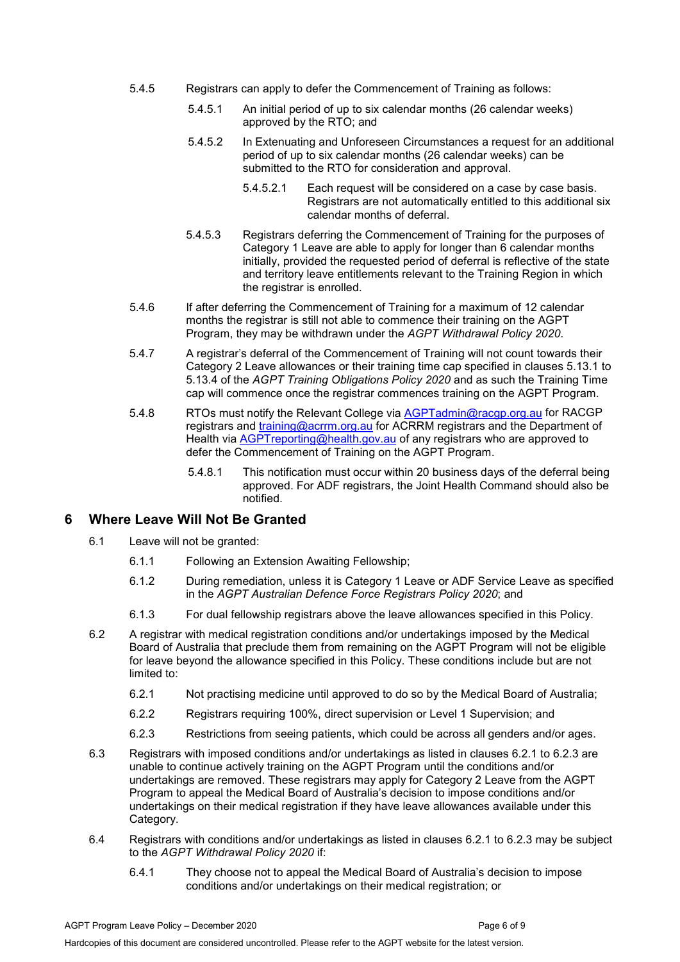- 5.4.5 Registrars can apply to defer the Commencement of Training as follows:
	- 5.4.5.1 An initial period of up to six calendar months (26 calendar weeks) approved by the RTO; and
	- 5.4.5.2 In Extenuating and Unforeseen Circumstances a request for an additional period of up to six calendar months (26 calendar weeks) can be submitted to the RTO for consideration and approval.
		- 5.4.5.2.1 Each request will be considered on a case by case basis. Registrars are not automatically entitled to this additional six calendar months of deferral.
	- 5.4.5.3 Registrars deferring the Commencement of Training for the purposes of Category 1 Leave are able to apply for longer than 6 calendar months initially, provided the requested period of deferral is reflective of the state and territory leave entitlements relevant to the Training Region in which the registrar is enrolled.
- 5.4.6 If after deferring the Commencement of Training for a maximum of 12 calendar months the registrar is still not able to commence their training on the AGPT Program, they may be withdrawn under the *AGPT Withdrawal Policy 2020*.
- 5.4.7 A registrar's deferral of the Commencement of Training will not count towards their Category 2 Leave allowances or their training time cap specified in clauses 5.13.1 to 5.13.4 of the *AGPT Training Obligations Policy 2020* and as such the Training Time cap will commence once the registrar commences training on the AGPT Program.
- 5.4.8 RTOs must notify the Relevant College via [AGPTadmin@racgp.org.au](mailto:AGPTadmin@racgp.org.au) for RACGP registrars and [training@acrrm.org.au](mailto:training@acrrm.org.au) for ACRRM registrars and the Department of Health via [AGPTreporting@health.gov.au](mailto:AGPTreporting@health.gov.au) of any registrars who are approved to defer the Commencement of Training on the AGPT Program.
	- 5.4.8.1 This notification must occur within 20 business days of the deferral being approved. For ADF registrars, the Joint Health Command should also be notified.

#### <span id="page-5-0"></span>**6 Where Leave Will Not Be Granted**

- 6.1 Leave will not be granted:
	- 6.1.1 Following an Extension Awaiting Fellowship;
	- 6.1.2 During remediation, unless it is Category 1 Leave or ADF Service Leave as specified in the *AGPT Australian Defence Force Registrars Policy 2020*; and
	- 6.1.3 For dual fellowship registrars above the leave allowances specified in this Policy.
- 6.2 A registrar with medical registration conditions and/or undertakings imposed by the Medical Board of Australia that preclude them from remaining on the AGPT Program will not be eligible for leave beyond the allowance specified in this Policy. These conditions include but are not limited to:
	- 6.2.1 Not practising medicine until approved to do so by the Medical Board of Australia;
	- 6.2.2 Registrars requiring 100%, direct supervision or Level 1 Supervision; and
	- 6.2.3 Restrictions from seeing patients, which could be across all genders and/or ages.
- 6.3 Registrars with imposed conditions and/or undertakings as listed in clauses 6.2.1 to 6.2.3 are unable to continue actively training on the AGPT Program until the conditions and/or undertakings are removed. These registrars may apply for Category 2 Leave from the AGPT Program to appeal the Medical Board of Australia's decision to impose conditions and/or undertakings on their medical registration if they have leave allowances available under this Category.
- 6.4 Registrars with conditions and/or undertakings as listed in clauses 6.2.1 to 6.2.3 may be subject to the *AGPT Withdrawal Policy 2020* if:
	- 6.4.1 They choose not to appeal the Medical Board of Australia's decision to impose conditions and/or undertakings on their medical registration; or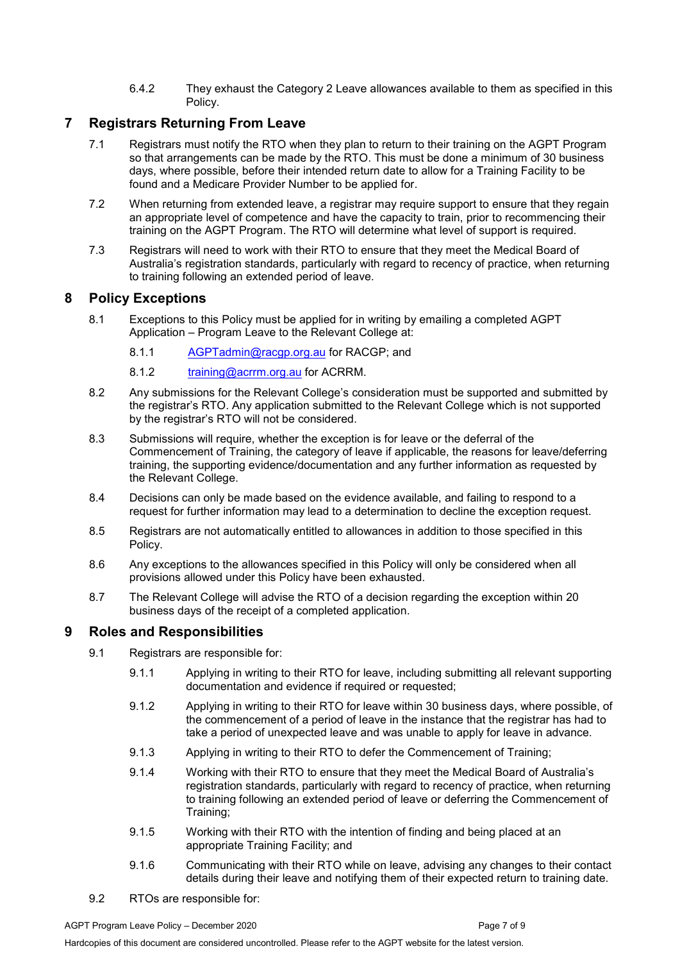6.4.2 They exhaust the Category 2 Leave allowances available to them as specified in this Policy.

## <span id="page-6-0"></span>**7 Registrars Returning From Leave**

- 7.1 Registrars must notify the RTO when they plan to return to their training on the AGPT Program so that arrangements can be made by the RTO. This must be done a minimum of 30 business days, where possible, before their intended return date to allow for a Training Facility to be found and a Medicare Provider Number to be applied for.
- 7.2 When returning from extended leave, a registrar may require support to ensure that they regain an appropriate level of competence and have the capacity to train, prior to recommencing their training on the AGPT Program. The RTO will determine what level of support is required.
- 7.3 Registrars will need to work with their RTO to ensure that they meet the Medical Board of Australia's registration standards, particularly with regard to recency of practice, when returning to training following an extended period of leave.

## <span id="page-6-1"></span>**8 Policy Exceptions**

- 8.1 Exceptions to this Policy must be applied for in writing by emailing a completed AGPT Application – Program Leave to the Relevant College at:
	- 8.1.1 [AGPTadmin@racgp.org.au](mailto:AGPTadmin@racgp.org.au) for RACGP; and
	- 8.1.2 [training@acrrm.org.au](mailto:training@acrrm.org.au) for ACRRM.
- 8.2 Any submissions for the Relevant College's consideration must be supported and submitted by the registrar's RTO. Any application submitted to the Relevant College which is not supported by the registrar's RTO will not be considered.
- 8.3 Submissions will require, whether the exception is for leave or the deferral of the Commencement of Training, the category of leave if applicable, the reasons for leave/deferring training, the supporting evidence/documentation and any further information as requested by the Relevant College.
- 8.4 Decisions can only be made based on the evidence available, and failing to respond to a request for further information may lead to a determination to decline the exception request.
- 8.5 Registrars are not automatically entitled to allowances in addition to those specified in this Policy.
- 8.6 Any exceptions to the allowances specified in this Policy will only be considered when all provisions allowed under this Policy have been exhausted.
- 8.7 The Relevant College will advise the RTO of a decision regarding the exception within 20 business days of the receipt of a completed application.

## <span id="page-6-2"></span>**9 Roles and Responsibilities**

- 9.1 Registrars are responsible for:
	- 9.1.1 Applying in writing to their RTO for leave, including submitting all relevant supporting documentation and evidence if required or requested;
	- 9.1.2 Applying in writing to their RTO for leave within 30 business days, where possible, of the commencement of a period of leave in the instance that the registrar has had to take a period of unexpected leave and was unable to apply for leave in advance.
	- 9.1.3 Applying in writing to their RTO to defer the Commencement of Training;
	- 9.1.4 Working with their RTO to ensure that they meet the Medical Board of Australia's registration standards, particularly with regard to recency of practice, when returning to training following an extended period of leave or deferring the Commencement of Training;
	- 9.1.5 Working with their RTO with the intention of finding and being placed at an appropriate Training Facility; and
	- 9.1.6 Communicating with their RTO while on leave, advising any changes to their contact details during their leave and notifying them of their expected return to training date.
- 9.2 RTOs are responsible for: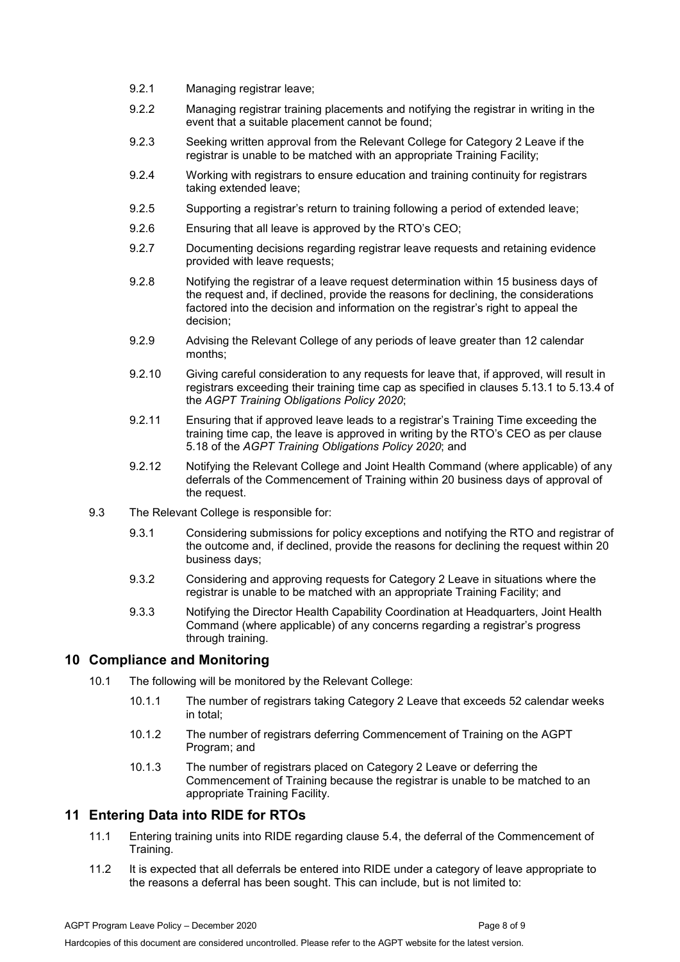- 9.2.1 Managing registrar leave;
- 9.2.2 Managing registrar training placements and notifying the registrar in writing in the event that a suitable placement cannot be found;
- 9.2.3 Seeking written approval from the Relevant College for Category 2 Leave if the registrar is unable to be matched with an appropriate Training Facility;
- 9.2.4 Working with registrars to ensure education and training continuity for registrars taking extended leave;
- 9.2.5 Supporting a registrar's return to training following a period of extended leave;
- 9.2.6 Ensuring that all leave is approved by the RTO's CEO;
- 9.2.7 Documenting decisions regarding registrar leave requests and retaining evidence provided with leave requests;
- 9.2.8 Notifying the registrar of a leave request determination within 15 business days of the request and, if declined, provide the reasons for declining, the considerations factored into the decision and information on the registrar's right to appeal the decision;
- 9.2.9 Advising the Relevant College of any periods of leave greater than 12 calendar months;
- 9.2.10 Giving careful consideration to any requests for leave that, if approved, will result in registrars exceeding their training time cap as specified in clauses 5.13.1 to 5.13.4 of the *AGPT Training Obligations Policy 2020*;
- 9.2.11 Ensuring that if approved leave leads to a registrar's Training Time exceeding the training time cap, the leave is approved in writing by the RTO's CEO as per clause 5.18 of the *AGPT Training Obligations Policy 2020*; and
- 9.2.12 Notifying the Relevant College and Joint Health Command (where applicable) of any deferrals of the Commencement of Training within 20 business days of approval of the request.
- 9.3 The Relevant College is responsible for:
	- 9.3.1 Considering submissions for policy exceptions and notifying the RTO and registrar of the outcome and, if declined, provide the reasons for declining the request within 20 business days;
	- 9.3.2 Considering and approving requests for Category 2 Leave in situations where the registrar is unable to be matched with an appropriate Training Facility; and
	- 9.3.3 Notifying the Director Health Capability Coordination at Headquarters, Joint Health Command (where applicable) of any concerns regarding a registrar's progress through training.

#### <span id="page-7-0"></span>**10 Compliance and Monitoring**

- 10.1 The following will be monitored by the Relevant College:
	- 10.1.1 The number of registrars taking Category 2 Leave that exceeds 52 calendar weeks in total;
	- 10.1.2 The number of registrars deferring Commencement of Training on the AGPT Program; and
	- 10.1.3 The number of registrars placed on Category 2 Leave or deferring the Commencement of Training because the registrar is unable to be matched to an appropriate Training Facility.

#### <span id="page-7-1"></span>**11 Entering Data into RIDE for RTOs**

- 11.1 Entering training units into RIDE regarding clause 5.4, the deferral of the Commencement of Training.
- 11.2 It is expected that all deferrals be entered into RIDE under a category of leave appropriate to the reasons a deferral has been sought. This can include, but is not limited to: